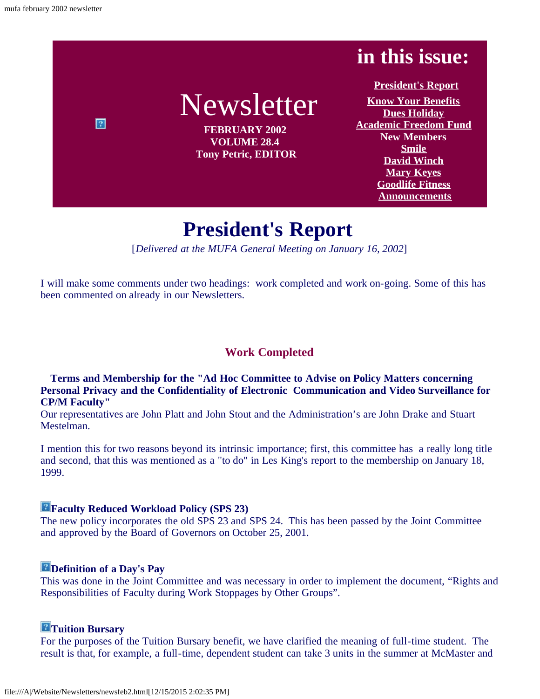$\boxed{2}$ 

# **in this issue:**

# Newsletter

**FEBRUARY 2002 VOLUME 28.4 Tony Petric, EDITOR**

**[President's Report](#page-0-0) [Know Your Benefits](#page-2-0) [Dues Holiday](#page-2-1) [Academic Freedom Fund](#page-2-2) [New Members](#page-3-0) [Smile](#page-3-1) [David Winch](#page-4-0) [Mary Keyes](#page-6-0) [Goodlife Fitness](#page-7-0) [Announcements](#page-8-0)**

# **President's Report**

[*Delivered at the MUFA General Meeting on January 16, 2002*]

<span id="page-0-0"></span>I will make some comments under two headings: work completed and work on-going. Some of this has been commented on already in our Newsletters.

# **Work Completed**

**Terms and Membership for the "Ad Hoc Committee to Advise on Policy Matters concerning Personal Privacy and the Confidentiality of Electronic Communication and Video Surveillance for CP/M Faculty"**

Our representatives are John Platt and John Stout and the Administration's are John Drake and Stuart Mestelman.

I mention this for two reasons beyond its intrinsic importance; first, this committee has a really long title and second, that this was mentioned as a "to do" in Les King's report to the membership on January 18, 1999.

# **Faculty Reduced Workload Policy (SPS 23)**

The new policy incorporates the old SPS 23 and SPS 24. This has been passed by the Joint Committee and approved by the Board of Governors on October 25, 2001.

# **Definition of a Day's Pay**

This was done in the Joint Committee and was necessary in order to implement the document, "Rights and Responsibilities of Faculty during Work Stoppages by Other Groups".

# **Tuition Bursary**

For the purposes of the Tuition Bursary benefit, we have clarified the meaning of full-time student. The result is that, for example, a full-time, dependent student can take 3 units in the summer at McMaster and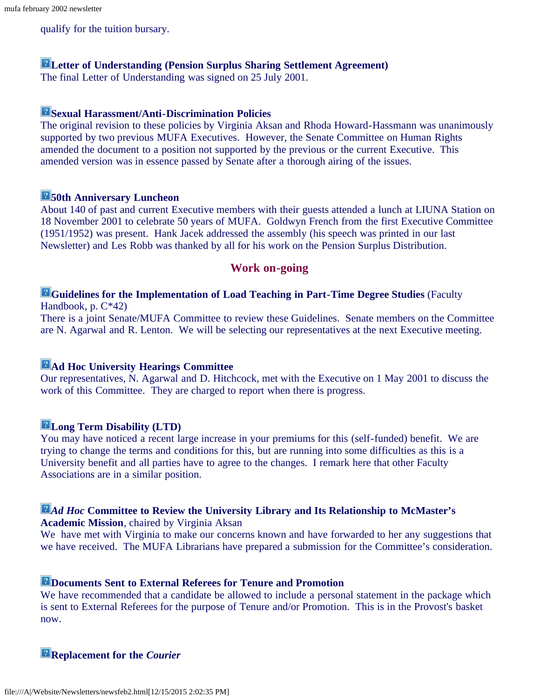### qualify for the tuition bursary.

### **Letter of Understanding (Pension Surplus Sharing Settlement Agreement)**

The final Letter of Understanding was signed on 25 July 2001.

# **Sexual Harassment/Anti-Discrimination Policies**

The original revision to these policies by Virginia Aksan and Rhoda Howard-Hassmann was unanimously supported by two previous MUFA Executives. However, the Senate Committee on Human Rights amended the document to a position not supported by the previous or the current Executive. This amended version was in essence passed by Senate after a thorough airing of the issues.

# **50th Anniversary Luncheon**

About 140 of past and current Executive members with their guests attended a lunch at LIUNA Station on 18 November 2001 to celebrate 50 years of MUFA. Goldwyn French from the first Executive Committee (1951/1952) was present. Hank Jacek addressed the assembly (his speech was printed in our last Newsletter) and Les Robb was thanked by all for his work on the Pension Surplus Distribution.

### **Work on-going**

### **Guidelines for the Implementation of Load Teaching in Part-Time Degree Studies** (Faculty Handbook, p. C\*42)

There is a joint Senate/MUFA Committee to review these Guidelines. Senate members on the Committee are N. Agarwal and R. Lenton. We will be selecting our representatives at the next Executive meeting.

### **Ad Hoc University Hearings Committee**

Our representatives, N. Agarwal and D. Hitchcock, met with the Executive on 1 May 2001 to discuss the work of this Committee. They are charged to report when there is progress.

#### **Long Term Disability (LTD)**

You may have noticed a recent large increase in your premiums for this (self-funded) benefit. We are trying to change the terms and conditions for this, but are running into some difficulties as this is a University benefit and all parties have to agree to the changes. I remark here that other Faculty Associations are in a similar position.

# *Ad Hoc* **Committee to Review the University Library and Its Relationship to McMaster's**

**Academic Mission**, chaired by Virginia Aksan

We have met with Virginia to make our concerns known and have forwarded to her any suggestions that we have received. The MUFA Librarians have prepared a submission for the Committee's consideration.

### **Documents Sent to External Referees for Tenure and Promotion**

We have recommended that a candidate be allowed to include a personal statement in the package which is sent to External Referees for the purpose of Tenure and/or Promotion. This is in the Provost's basket now.

**Replacement for the** *Courier*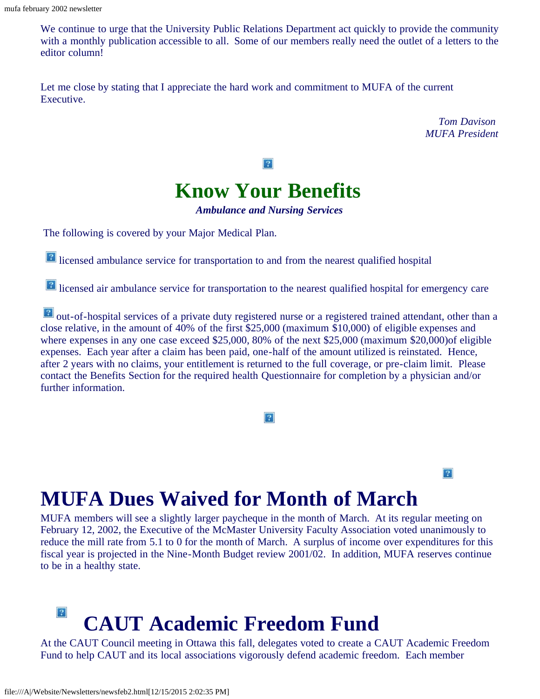We continue to urge that the University Public Relations Department act quickly to provide the community with a monthly publication accessible to all. Some of our members really need the outlet of a letters to the editor column!

Let me close by stating that I appreciate the hard work and commitment to MUFA of the current Executive.

> *Tom Davison MUFA President*

> > $|2|$



*Ambulance and Nursing Services*

<span id="page-2-0"></span>The following is covered by your Major Medical Plan.

**lace** licensed ambulance service for transportation to and from the nearest qualified hospital

lacktriangleright air ambulance service for transportation to the nearest qualified hospital for emergency care

**EX** out-of-hospital services of a private duty registered nurse or a registered trained attendant, other than a close relative, in the amount of 40% of the first \$25,000 (maximum \$10,000) of eligible expenses and where expenses in any one case exceed \$25,000, 80% of the next \$25,000 (maximum \$20,000)of eligible expenses. Each year after a claim has been paid, one-half of the amount utilized is reinstated. Hence, after 2 years with no claims, your entitlement is returned to the full coverage, or pre-claim limit. Please contact the Benefits Section for the required health Questionnaire for completion by a physician and/or further information.

### $|2\rangle$

# <span id="page-2-1"></span>**MUFA Dues Waived for Month of March**

MUFA members will see a slightly larger paycheque in the month of March. At its regular meeting on February 12, 2002, the Executive of the McMaster University Faculty Association voted unanimously to reduce the mill rate from 5.1 to 0 for the month of March. A surplus of income over expenditures for this fiscal year is projected in the Nine-Month Budget review 2001/02. In addition, MUFA reserves continue to be in a healthy state.

# $\left|2\right\rangle$ **CAUT Academic Freedom Fund**

<span id="page-2-2"></span>At the CAUT Council meeting in Ottawa this fall, delegates voted to create a CAUT Academic Freedom Fund to help CAUT and its local associations vigorously defend academic freedom. Each member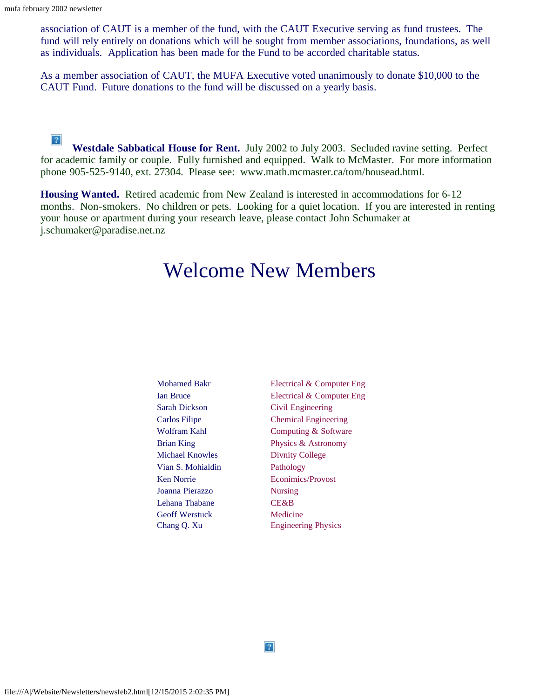association of CAUT is a member of the fund, with the CAUT Executive serving as fund trustees. The fund will rely entirely on donations which will be sought from member associations, foundations, as well as individuals. Application has been made for the Fund to be accorded charitable status.

As a member association of CAUT, the MUFA Executive voted unanimously to donate \$10,000 to the CAUT Fund. Future donations to the fund will be discussed on a yearly basis.

 $|2\rangle$ **Westdale Sabbatical House for Rent.** July 2002 to July 2003. Secluded ravine setting. Perfect for academic family or couple. Fully furnished and equipped. Walk to McMaster. For more information phone 905-525-9140, ext. 27304. Please see: www.math.mcmaster.ca/tom/housead.html.

<span id="page-3-0"></span>**Housing Wanted.** Retired academic from New Zealand is interested in accommodations for 6-12 months. Non-smokers. No children or pets. Looking for a quiet location. If you are interested in renting your house or apartment during your research leave, please contact John Schumaker at j.schumaker@paradise.net.nz

# Welcome New Members

<span id="page-3-1"></span>

| <b>Mohamed Bakr</b>   | Electrical & Computer Eng   |  |
|-----------------------|-----------------------------|--|
| <b>Ian Bruce</b>      | Electrical & Computer Eng   |  |
| <b>Sarah Dickson</b>  | Civil Engineering           |  |
| Carlos Filipe         | <b>Chemical Engineering</b> |  |
| Wolfram Kahl          | Computing & Software        |  |
| <b>Brian King</b>     | Physics & Astronomy         |  |
| Michael Knowles       | Divnity College             |  |
| Vian S. Mohialdin     | Pathology                   |  |
| Ken Norrie            | Econimics/Provost           |  |
| Joanna Pierazzo       | <b>Nursing</b>              |  |
| Lehana Thabane        | <b>CE&amp;B</b>             |  |
| <b>Geoff Werstuck</b> | Medicine                    |  |
| Chang Q. Xu           | <b>Engineering Physics</b>  |  |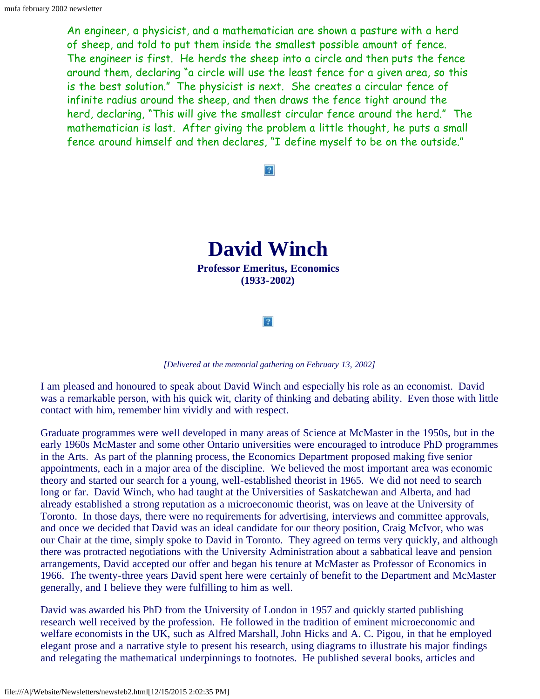An engineer, a physicist, and a mathematician are shown a pasture with a herd of sheep, and told to put them inside the smallest possible amount of fence. The engineer is first. He herds the sheep into a circle and then puts the fence around them, declaring "a circle will use the least fence for a given area, so this is the best solution." The physicist is next. She creates a circular fence of infinite radius around the sheep, and then draws the fence tight around the herd, declaring, "This will give the smallest circular fence around the herd." The mathematician is last. After giving the problem a little thought, he puts a small fence around himself and then declares, "I define myself to be on the outside."

#### $|2|$



 $|2|$ 

#### *[Delivered at the memorial gathering on February 13, 2002]*

<span id="page-4-0"></span>I am pleased and honoured to speak about David Winch and especially his role as an economist. David was a remarkable person, with his quick wit, clarity of thinking and debating ability. Even those with little contact with him, remember him vividly and with respect.

Graduate programmes were well developed in many areas of Science at McMaster in the 1950s, but in the early 1960s McMaster and some other Ontario universities were encouraged to introduce PhD programmes in the Arts. As part of the planning process, the Economics Department proposed making five senior appointments, each in a major area of the discipline. We believed the most important area was economic theory and started our search for a young, well-established theorist in 1965. We did not need to search long or far. David Winch, who had taught at the Universities of Saskatchewan and Alberta, and had already established a strong reputation as a microeconomic theorist, was on leave at the University of Toronto. In those days, there were no requirements for advertising, interviews and committee approvals, and once we decided that David was an ideal candidate for our theory position, Craig McIvor, who was our Chair at the time, simply spoke to David in Toronto. They agreed on terms very quickly, and although there was protracted negotiations with the University Administration about a sabbatical leave and pension arrangements, David accepted our offer and began his tenure at McMaster as Professor of Economics in 1966. The twenty-three years David spent here were certainly of benefit to the Department and McMaster generally, and I believe they were fulfilling to him as well.

David was awarded his PhD from the University of London in 1957 and quickly started publishing research well received by the profession. He followed in the tradition of eminent microeconomic and welfare economists in the UK, such as Alfred Marshall, John Hicks and A. C. Pigou, in that he employed elegant prose and a narrative style to present his research, using diagrams to illustrate his major findings and relegating the mathematical underpinnings to footnotes. He published several books, articles and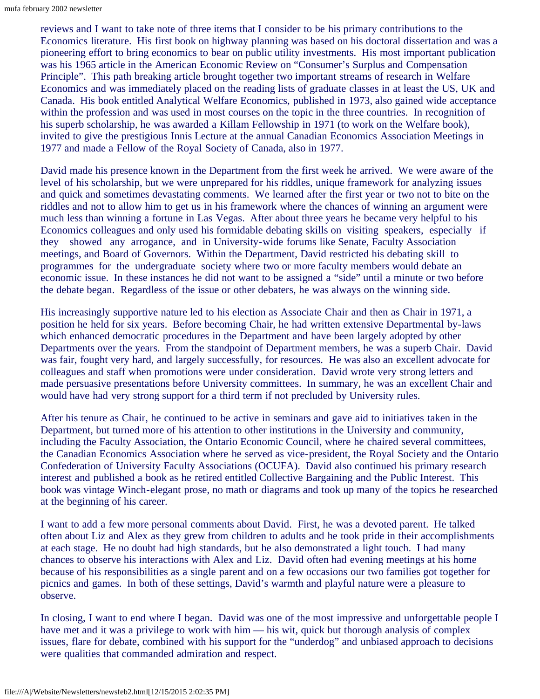reviews and I want to take note of three items that I consider to be his primary contributions to the Economics literature. His first book on highway planning was based on his doctoral dissertation and was a pioneering effort to bring economics to bear on public utility investments. His most important publication was his 1965 article in the American Economic Review on "Consumer's Surplus and Compensation Principle". This path breaking article brought together two important streams of research in Welfare Economics and was immediately placed on the reading lists of graduate classes in at least the US, UK and Canada. His book entitled Analytical Welfare Economics, published in 1973, also gained wide acceptance within the profession and was used in most courses on the topic in the three countries. In recognition of his superb scholarship, he was awarded a Killam Fellowship in 1971 (to work on the Welfare book), invited to give the prestigious Innis Lecture at the annual Canadian Economics Association Meetings in 1977 and made a Fellow of the Royal Society of Canada, also in 1977.

David made his presence known in the Department from the first week he arrived. We were aware of the level of his scholarship, but we were unprepared for his riddles, unique framework for analyzing issues and quick and sometimes devastating comments. We learned after the first year or two not to bite on the riddles and not to allow him to get us in his framework where the chances of winning an argument were much less than winning a fortune in Las Vegas. After about three years he became very helpful to his Economics colleagues and only used his formidable debating skills on visiting speakers, especially if they showed any arrogance, and in University-wide forums like Senate, Faculty Association meetings, and Board of Governors. Within the Department, David restricted his debating skill to programmes for the undergraduate society where two or more faculty members would debate an economic issue. In these instances he did not want to be assigned a "side" until a minute or two before the debate began. Regardless of the issue or other debaters, he was always on the winning side.

His increasingly supportive nature led to his election as Associate Chair and then as Chair in 1971, a position he held for six years. Before becoming Chair, he had written extensive Departmental by-laws which enhanced democratic procedures in the Department and have been largely adopted by other Departments over the years. From the standpoint of Department members, he was a superb Chair. David was fair, fought very hard, and largely successfully, for resources. He was also an excellent advocate for colleagues and staff when promotions were under consideration. David wrote very strong letters and made persuasive presentations before University committees. In summary, he was an excellent Chair and would have had very strong support for a third term if not precluded by University rules.

After his tenure as Chair, he continued to be active in seminars and gave aid to initiatives taken in the Department, but turned more of his attention to other institutions in the University and community, including the Faculty Association, the Ontario Economic Council, where he chaired several committees, the Canadian Economics Association where he served as vice-president, the Royal Society and the Ontario Confederation of University Faculty Associations (OCUFA). David also continued his primary research interest and published a book as he retired entitled Collective Bargaining and the Public Interest. This book was vintage Winch-elegant prose, no math or diagrams and took up many of the topics he researched at the beginning of his career.

I want to add a few more personal comments about David. First, he was a devoted parent. He talked often about Liz and Alex as they grew from children to adults and he took pride in their accomplishments at each stage. He no doubt had high standards, but he also demonstrated a light touch. I had many chances to observe his interactions with Alex and Liz. David often had evening meetings at his home because of his responsibilities as a single parent and on a few occasions our two families got together for picnics and games. In both of these settings, David's warmth and playful nature were a pleasure to observe.

In closing, I want to end where I began. David was one of the most impressive and unforgettable people I have met and it was a privilege to work with him — his wit, quick but thorough analysis of complex issues, flare for debate, combined with his support for the "underdog" and unbiased approach to decisions were qualities that commanded admiration and respect.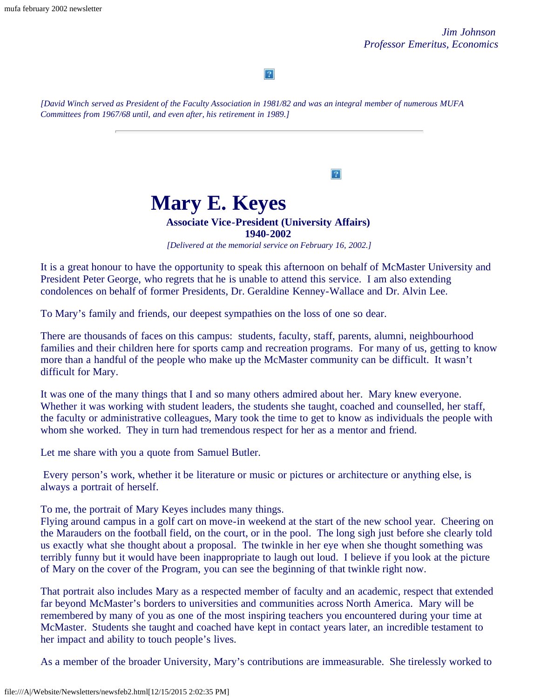$|2|$ 

*[David Winch served as President of the Faculty Association in 1981/82 and was an integral member of numerous MUFA Committees from 1967/68 until, and even after, his retirement in 1989.]*

> **Mary E. Keyes Associate Vice-President (University Affairs)**

# **1940-2002**

 $\overline{?}$ 

*[Delivered at the memorial service on February 16, 2002.]*

<span id="page-6-0"></span>It is a great honour to have the opportunity to speak this afternoon on behalf of McMaster University and President Peter George, who regrets that he is unable to attend this service. I am also extending condolences on behalf of former Presidents, Dr. Geraldine Kenney-Wallace and Dr. Alvin Lee.

To Mary's family and friends, our deepest sympathies on the loss of one so dear.

There are thousands of faces on this campus: students, faculty, staff, parents, alumni, neighbourhood families and their children here for sports camp and recreation programs. For many of us, getting to know more than a handful of the people who make up the McMaster community can be difficult. It wasn't difficult for Mary.

It was one of the many things that I and so many others admired about her. Mary knew everyone. Whether it was working with student leaders, the students she taught, coached and counselled, her staff, the faculty or administrative colleagues, Mary took the time to get to know as individuals the people with whom she worked. They in turn had tremendous respect for her as a mentor and friend.

Let me share with you a quote from Samuel Butler.

Every person's work, whether it be literature or music or pictures or architecture or anything else, is always a portrait of herself.

To me, the portrait of Mary Keyes includes many things.

Flying around campus in a golf cart on move-in weekend at the start of the new school year. Cheering on the Marauders on the football field, on the court, or in the pool. The long sigh just before she clearly told us exactly what she thought about a proposal. The twinkle in her eye when she thought something was terribly funny but it would have been inappropriate to laugh out loud. I believe if you look at the picture of Mary on the cover of the Program, you can see the beginning of that twinkle right now.

That portrait also includes Mary as a respected member of faculty and an academic, respect that extended far beyond McMaster's borders to universities and communities across North America. Mary will be remembered by many of you as one of the most inspiring teachers you encountered during your time at McMaster. Students she taught and coached have kept in contact years later, an incredible testament to her impact and ability to touch people's lives.

As a member of the broader University, Mary's contributions are immeasurable. She tirelessly worked to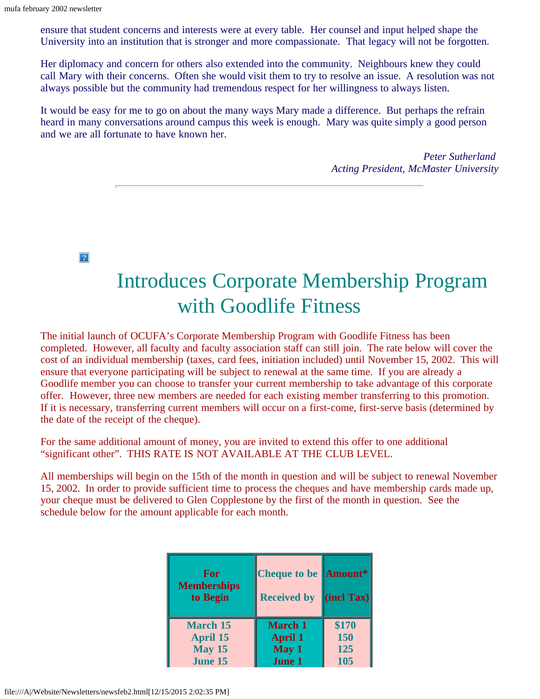ensure that student concerns and interests were at every table. Her counsel and input helped shape the University into an institution that is stronger and more compassionate. That legacy will not be forgotten.

Her diplomacy and concern for others also extended into the community. Neighbours knew they could call Mary with their concerns. Often she would visit them to try to resolve an issue. A resolution was not always possible but the community had tremendous respect for her willingness to always listen.

It would be easy for me to go on about the many ways Mary made a difference. But perhaps the refrain heard in many conversations around campus this week is enough. Mary was quite simply a good person and we are all fortunate to have known her.

> *Peter Sutherland Acting President, McMaster University*

 $\overline{?}$ 

# Introduces Corporate Membership Program with Goodlife Fitness

<span id="page-7-0"></span>The initial launch of OCUFA's Corporate Membership Program with Goodlife Fitness has been completed. However, all faculty and faculty association staff can still join. The rate below will cover the cost of an individual membership (taxes, card fees, initiation included) until November 15, 2002. This will ensure that everyone participating will be subject to renewal at the same time. If you are already a Goodlife member you can choose to transfer your current membership to take advantage of this corporate offer. However, three new members are needed for each existing member transferring to this promotion. If it is necessary, transferring current members will occur on a first-come, first-serve basis (determined by the date of the receipt of the cheque).

For the same additional amount of money, you are invited to extend this offer to one additional "significant other". THIS RATE IS NOT AVAILABLE AT THE CLUB LEVEL.

All memberships will begin on the 15th of the month in question and will be subject to renewal November 15, 2002. In order to provide sufficient time to process the cheques and have membership cards made up, your cheque must be delivered to Glen Copplestone by the first of the month in question. See the schedule below for the amount applicable for each month.

| For<br><b>Memberships</b><br>to Begin | <b>Cheque to be Amount*</b><br><b>Received by</b> | $\left\Vert$ (incl Tax) $\right\Vert$ |
|---------------------------------------|---------------------------------------------------|---------------------------------------|
| <b>March 15</b>                       | <b>March 1</b>                                    | \$170                                 |
| <b>April 15</b>                       | <b>April 1</b>                                    | 150                                   |
| <b>May 15</b>                         | May 1                                             | 125                                   |
| <b>June 15</b>                        | <b>June 1</b>                                     | 105                                   |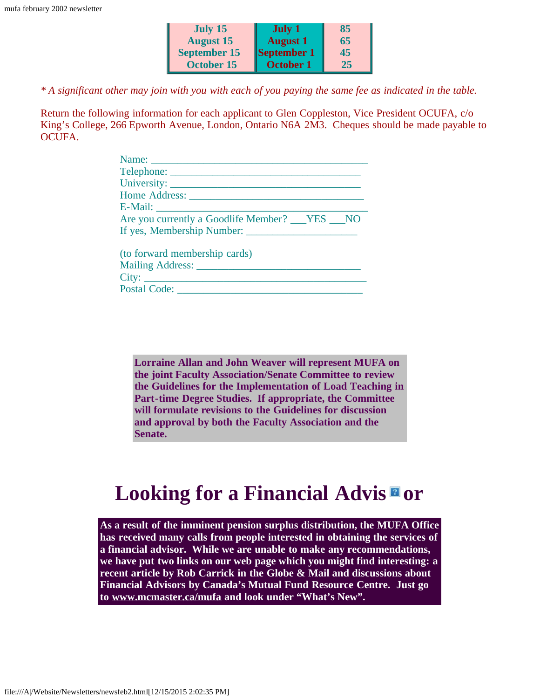| July 15             | <b>July 1</b>    | 85 |
|---------------------|------------------|----|
| <b>August 15</b>    | <b>August 1</b>  | 65 |
| <b>September 15</b> | September 1      | 45 |
| <b>October 15</b>   | <b>October 1</b> | 25 |

*\* A significant other may join with you with each of you paying the same fee as indicated in the table.*

Return the following information for each applicant to Glen Coppleston, Vice President OCUFA, c/o King's College, 266 Epworth Avenue, London, Ontario N6A 2M3. Cheques should be made payable to OCUFA.

| Are you currently a Goodlife Member? VES NO |
|---------------------------------------------|
| If yes, Membership Number:                  |
| (to forward membership cards)               |
|                                             |
|                                             |

<span id="page-8-0"></span>Postal Code: \_\_\_\_\_\_\_\_\_\_\_\_\_\_\_\_\_\_\_\_\_\_\_\_\_\_\_\_\_\_\_\_\_\_\_

**Lorraine Allan and John Weaver will represent MUFA on the joint Faculty Association/Senate Committee to review the Guidelines for the Implementation of Load Teaching in Part-time Degree Studies. If appropriate, the Committee will formulate revisions to the Guidelines for discussion and approval by both the Faculty Association and the Senate.**

# **Looking for a Financial Advis or**

**As a result of the imminent pension surplus distribution, the MUFA Office has received many calls from people interested in obtaining the services of a financial advisor. While we are unable to make any recommendations, we have put two links on our web page which you might find interesting: a recent article by Rob Carrick in the Globe & Mail and discussions about Financial Advisors by Canada's Mutual Fund Resource Centre. Just go to [www.mcmaster.ca/mufa](http://www.mcmaster.ca/mufa) and look under "What's New".**